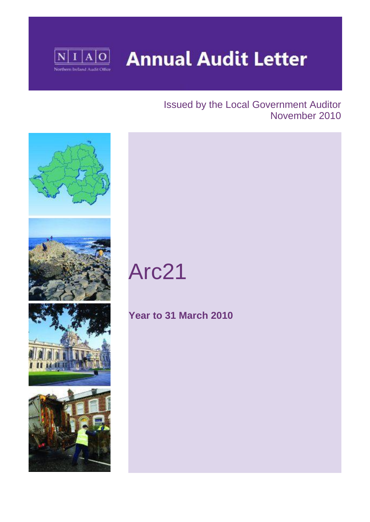

**Annual Audit Letter** 

## Issued by the Local Government Auditor November 2010



# Arc21

# **Year to 31 March 2010**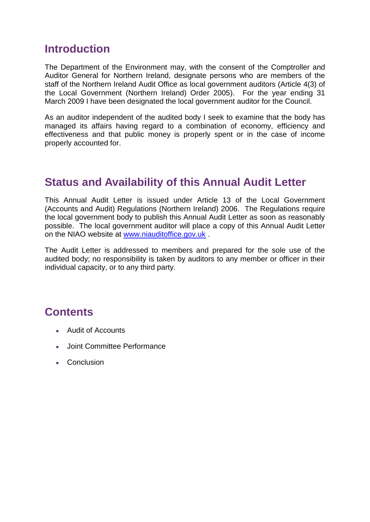## **Introduction**

The Department of the Environment may, with the consent of the Comptroller and Auditor General for Northern Ireland, designate persons who are members of the staff of the Northern Ireland Audit Office as local government auditors (Article 4(3) of the Local Government (Northern Ireland) Order 2005). For the year ending 31 March 2009 I have been designated the local government auditor for the Council.

As an auditor independent of the audited body I seek to examine that the body has managed its affairs having regard to a combination of economy, efficiency and effectiveness and that public money is properly spent or in the case of income properly accounted for.

### **Status and Availability of this Annual Audit Letter**

This Annual Audit Letter is issued under Article 13 of the Local Government (Accounts and Audit) Regulations (Northern Ireland) 2006. The Regulations require the local government body to publish this Annual Audit Letter as soon as reasonably possible. The local government auditor will place a copy of this Annual Audit Letter on the NIAO website at [www.niauditoffice.gov.uk](http://www.niauditoffice.gov.uk/) .

The Audit Letter is addressed to members and prepared for the sole use of the audited body; no responsibility is taken by auditors to any member or officer in their individual capacity, or to any third party.

# **Contents**

- Audit of Accounts
- Joint Committee Performance
- Conclusion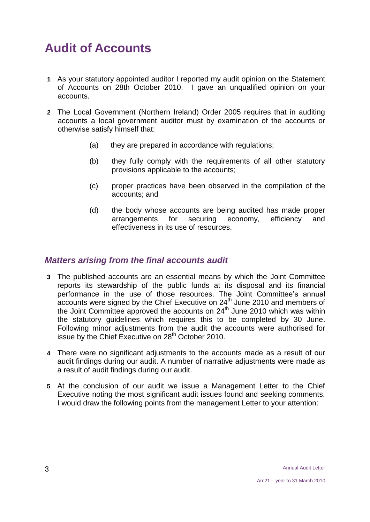# **Audit of Accounts**

- **1** As your statutory appointed auditor I reported my audit opinion on the Statement of Accounts on 28th October 2010. I gave an unqualified opinion on your accounts.
- **2** The Local Government (Northern Ireland) Order 2005 requires that in auditing accounts a local government auditor must by examination of the accounts or otherwise satisfy himself that:
	- (a) they are prepared in accordance with regulations;
	- (b) they fully comply with the requirements of all other statutory provisions applicable to the accounts;
	- (c) proper practices have been observed in the compilation of the accounts; and
	- (d) the body whose accounts are being audited has made proper arrangements for securing economy, efficiency and effectiveness in its use of resources.

#### *Matters arising from the final accounts audit*

- **3** The published accounts are an essential means by which the Joint Committee reports its stewardship of the public funds at its disposal and its financial performance in the use of those resources. The Joint Committee's annual  $\alpha$  accounts were signed by the Chief Executive on 24<sup>th</sup> June 2010 and members of the Joint Committee approved the accounts on 24<sup>th</sup> June 2010 which was within the statutory guidelines which requires this to be completed by 30 June. Following minor adjustments from the audit the accounts were authorised for issue by the Chief Executive on 28<sup>th</sup> October 2010.
- **4** There were no significant adjustments to the accounts made as a result of our audit findings during our audit. A number of narrative adjustments were made as a result of audit findings during our audit.
- **5** At the conclusion of our audit we issue a Management Letter to the Chief Executive noting the most significant audit issues found and seeking comments. I would draw the following points from the management Letter to your attention: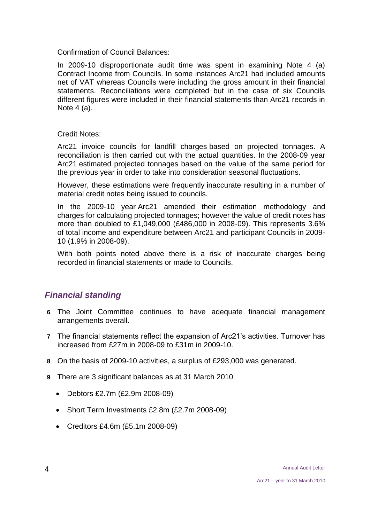Confirmation of Council Balances:

In 2009-10 disproportionate audit time was spent in examining Note 4 (a) Contract Income from Councils. In some instances Arc21 had included amounts net of VAT whereas Councils were including the gross amount in their financial statements. Reconciliations were completed but in the case of six Councils different figures were included in their financial statements than Arc21 records in Note 4 (a).

#### Credit Notes:

Arc21 invoice councils for landfill charges based on projected tonnages. A reconciliation is then carried out with the actual quantities. In the 2008-09 year Arc21 estimated projected tonnages based on the value of the same period for the previous year in order to take into consideration seasonal fluctuations.

However, these estimations were frequently inaccurate resulting in a number of material credit notes being issued to councils.

In the 2009-10 year Arc21 amended their estimation methodology and charges for calculating projected tonnages; however the value of credit notes has more than doubled to £1,049,000 (£486,000 in 2008-09). This represents 3.6% of total income and expenditure between Arc21 and participant Councils in 2009- 10 (1.9% in 2008-09).

With both points noted above there is a risk of inaccurate charges being recorded in financial statements or made to Councils.

#### *Financial standing*

- **6** The Joint Committee continues to have adequate financial management arrangements overall.
- **7** The financial statements reflect the expansion of Arc21's activities. Turnover has increased from £27m in 2008-09 to £31m in 2009-10.
- **8** On the basis of 2009-10 activities, a surplus of £293,000 was generated.
- **9** There are 3 significant balances as at 31 March 2010
	- Debtors £2.7m (£2.9m 2008-09)
	- Short Term Investments £2.8m (£2.7m 2008-09)
	- Creditors £4.6m (£5.1m 2008-09)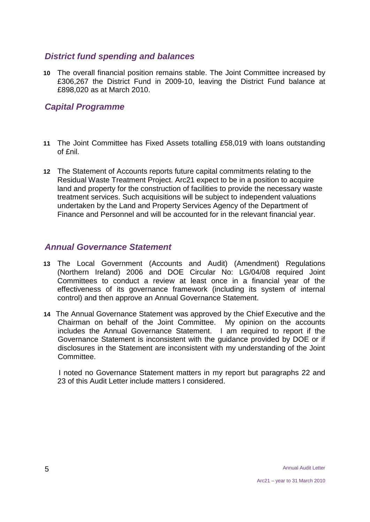#### *District fund spending and balances*

**10** The overall financial position remains stable. The Joint Committee increased by £306,267 the District Fund in 2009-10, leaving the District Fund balance at £898,020 as at March 2010.

#### *Capital Programme*

- **11** The Joint Committee has Fixed Assets totalling £58,019 with loans outstanding of £nil.
- **12** The Statement of Accounts reports future capital commitments relating to the Residual Waste Treatment Project. Arc21 expect to be in a position to acquire land and property for the construction of facilities to provide the necessary waste treatment services. Such acquisitions will be subject to independent valuations undertaken by the Land and Property Services Agency of the Department of Finance and Personnel and will be accounted for in the relevant financial year.

#### *Annual Governance Statement*

- **13** The Local Government (Accounts and Audit) (Amendment) Regulations (Northern Ireland) 2006 and DOE Circular No: LG/04/08 required Joint Committees to conduct a review at least once in a financial year of the effectiveness of its governance framework (including its system of internal control) and then approve an Annual Governance Statement.
- **14** The Annual Governance Statement was approved by the Chief Executive and the Chairman on behalf of the Joint Committee. My opinion on the accounts includes the Annual Governance Statement. I am required to report if the Governance Statement is inconsistent with the guidance provided by DOE or if disclosures in the Statement are inconsistent with my understanding of the Joint Committee.

 I noted no Governance Statement matters in my report but paragraphs 22 and 23 of this Audit Letter include matters I considered.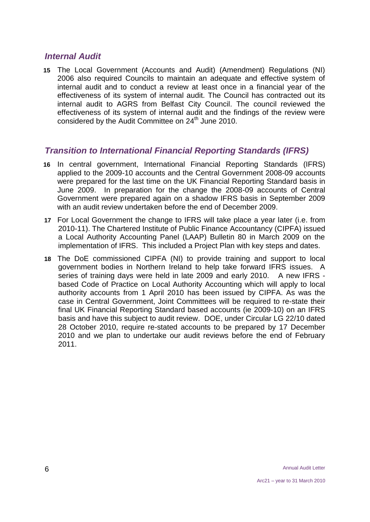#### *Internal Audit*

**15** The Local Government (Accounts and Audit) (Amendment) Regulations (NI) 2006 also required Councils to maintain an adequate and effective system of internal audit and to conduct a review at least once in a financial year of the effectiveness of its system of internal audit. The Council has contracted out its internal audit to AGRS from Belfast City Council. The council reviewed the effectiveness of its system of internal audit and the findings of the review were considered by the Audit Committee on 24<sup>th</sup> June 2010.

#### *Transition to International Financial Reporting Standards (IFRS)*

- **16** In central government, International Financial Reporting Standards (IFRS) applied to the 2009-10 accounts and the Central Government 2008-09 accounts were prepared for the last time on the UK Financial Reporting Standard basis in June 2009. In preparation for the change the 2008-09 accounts of Central Government were prepared again on a shadow IFRS basis in September 2009 with an audit review undertaken before the end of December 2009.
- **17** For Local Government the change to IFRS will take place a year later (i.e. from 2010-11). The Chartered Institute of Public Finance Accountancy (CIPFA) issued a Local Authority Accounting Panel (LAAP) Bulletin 80 in March 2009 on the implementation of IFRS. This included a Project Plan with key steps and dates.
- **18** The DoE commissioned CIPFA (NI) to provide training and support to local government bodies in Northern Ireland to help take forward IFRS issues. A series of training days were held in late 2009 and early 2010. A new IFRS based Code of Practice on Local Authority Accounting which will apply to local authority accounts from 1 April 2010 has been issued by CIPFA. As was the case in Central Government, Joint Committees will be required to re-state their final UK Financial Reporting Standard based accounts (ie 2009-10) on an IFRS basis and have this subject to audit review. DOE, under Circular LG 22/10 dated 28 October 2010, require re-stated accounts to be prepared by 17 December 2010 and we plan to undertake our audit reviews before the end of February 2011.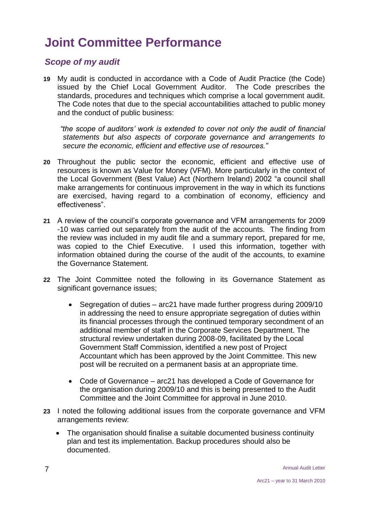# **Joint Committee Performance**

#### *Scope of my audit*

**19** My audit is conducted in accordance with a Code of Audit Practice (the Code) issued by the Chief Local Government Auditor. The Code prescribes the standards, procedures and techniques which comprise a local government audit. The Code notes that due to the special accountabilities attached to public money and the conduct of public business:

 *"the scope of auditors' work is extended to cover not only the audit of financial statements but also aspects of corporate governance and arrangements to secure the economic, efficient and effective use of resources."*

- **20** Throughout the public sector the economic, efficient and effective use of resources is known as Value for Money (VFM). More particularly in the context of the Local Government (Best Value) Act (Northern Ireland) 2002 "a council shall make arrangements for continuous improvement in the way in which its functions are exercised, having regard to a combination of economy, efficiency and effectiveness".
- **21** A review of the council's corporate governance and VFM arrangements for 2009 -10 was carried out separately from the audit of the accounts. The finding from the review was included in my audit file and a summary report, prepared for me, was copied to the Chief Executive. I used this information, together with information obtained during the course of the audit of the accounts, to examine the Governance Statement.
- **22** The Joint Committee noted the following in its Governance Statement as significant governance issues;
	- Segregation of duties arc21 have made further progress during 2009/10 in addressing the need to ensure appropriate segregation of duties within its financial processes through the continued temporary secondment of an additional member of staff in the Corporate Services Department. The structural review undertaken during 2008-09, facilitated by the Local Government Staff Commission, identified a new post of Project Accountant which has been approved by the Joint Committee. This new post will be recruited on a permanent basis at an appropriate time.
	- Code of Governance arc21 has developed a Code of Governance for the organisation during 2009/10 and this is being presented to the Audit Committee and the Joint Committee for approval in June 2010.
- **23** I noted the following additional issues from the corporate governance and VFM arrangements review:
	- The organisation should finalise a suitable documented business continuity plan and test its implementation. Backup procedures should also be documented.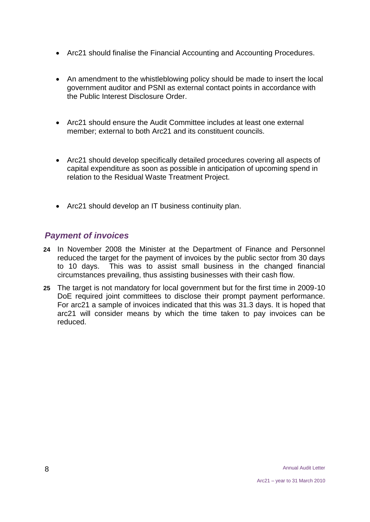- Arc21 should finalise the Financial Accounting and Accounting Procedures.
- An amendment to the whistleblowing policy should be made to insert the local government auditor and PSNI as external contact points in accordance with the Public Interest Disclosure Order.
- Arc21 should ensure the Audit Committee includes at least one external member; external to both Arc21 and its constituent councils.
- Arc21 should develop specifically detailed procedures covering all aspects of capital expenditure as soon as possible in anticipation of upcoming spend in relation to the Residual Waste Treatment Project.
- Arc21 should develop an IT business continuity plan.

#### *Payment of invoices*

- **24** In November 2008 the Minister at the Department of Finance and Personnel reduced the target for the payment of invoices by the public sector from 30 days to 10 days. This was to assist small business in the changed financial circumstances prevailing, thus assisting businesses with their cash flow.
- **25** The target is not mandatory for local government but for the first time in 2009-10 DoE required joint committees to disclose their prompt payment performance. For arc21 a sample of invoices indicated that this was 31.3 days. It is hoped that arc21 will consider means by which the time taken to pay invoices can be reduced.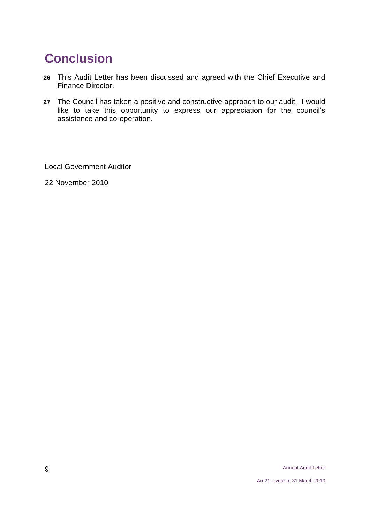# **Conclusion**

- **26** This Audit Letter has been discussed and agreed with the Chief Executive and Finance Director.
- **27** The Council has taken a positive and constructive approach to our audit. I would like to take this opportunity to express our appreciation for the council's assistance and co-operation.

Local Government Auditor

22 November 2010